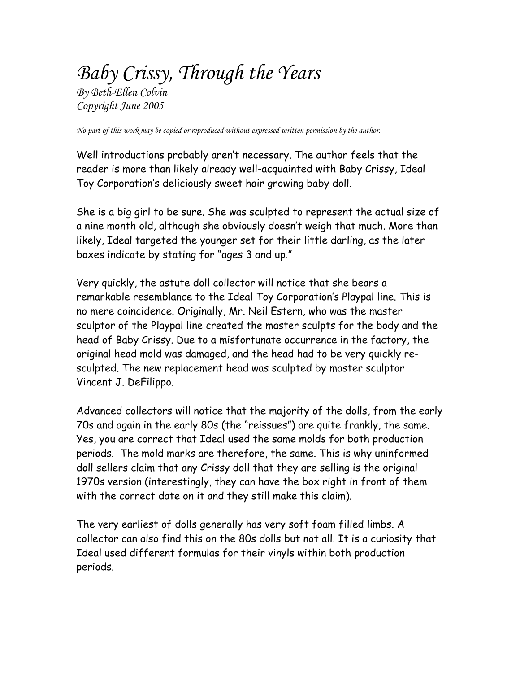# *Baby Crissy, Through the Years*

*By Beth-Ellen Colvin Copyright June 2005* 

*No part of this work may be copied or reproduced without expressed written permission by the author.* 

Well introductions probably aren't necessary. The author feels that the reader is more than likely already well-acquainted with Baby Crissy, Ideal Toy Corporation's deliciously sweet hair growing baby doll.

She is a big girl to be sure. She was sculpted to represent the actual size of a nine month old, although she obviously doesn't weigh that much. More than likely, Ideal targeted the younger set for their little darling, as the later boxes indicate by stating for "ages 3 and up."

Very quickly, the astute doll collector will notice that she bears a remarkable resemblance to the Ideal Toy Corporation's Playpal line. This is no mere coincidence. Originally, Mr. Neil Estern, who was the master sculptor of the Playpal line created the master sculpts for the body and the head of Baby Crissy. Due to a misfortunate occurrence in the factory, the original head mold was damaged, and the head had to be very quickly resculpted. The new replacement head was sculpted by master sculptor Vincent J. DeFilippo.

Advanced collectors will notice that the majority of the dolls, from the early 70s and again in the early 80s (the "reissues") are quite frankly, the same. Yes, you are correct that Ideal used the same molds for both production periods. The mold marks are therefore, the same. This is why uninformed doll sellers claim that any Crissy doll that they are selling is the original 1970s version (interestingly, they can have the box right in front of them with the correct date on it and they still make this claim).

The very earliest of dolls generally has very soft foam filled limbs. A collector can also find this on the 80s dolls but not all. It is a curiosity that Ideal used different formulas for their vinyls within both production periods.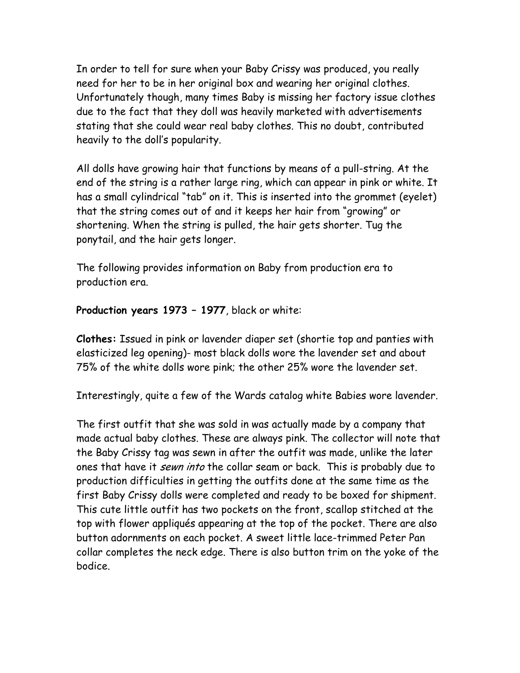In order to tell for sure when your Baby Crissy was produced, you really need for her to be in her original box and wearing her original clothes. Unfortunately though, many times Baby is missing her factory issue clothes due to the fact that they doll was heavily marketed with advertisements stating that she could wear real baby clothes. This no doubt, contributed heavily to the doll's popularity.

All dolls have growing hair that functions by means of a pull-string. At the end of the string is a rather large ring, which can appear in pink or white. It has a small cylindrical "tab" on it. This is inserted into the grommet (eyelet) that the string comes out of and it keeps her hair from "growing" or shortening. When the string is pulled, the hair gets shorter. Tug the ponytail, and the hair gets longer.

The following provides information on Baby from production era to production era.

**Production years 1973 – 1977**, black or white:

**Clothes:** Issued in pink or lavender diaper set (shortie top and panties with elasticized leg opening)- most black dolls wore the lavender set and about 75% of the white dolls wore pink; the other 25% wore the lavender set.

Interestingly, quite a few of the Wards catalog white Babies wore lavender.

The first outfit that she was sold in was actually made by a company that made actual baby clothes. These are always pink. The collector will note that the Baby Crissy tag was sewn in after the outfit was made, unlike the later ones that have it *sewn into* the collar seam or back. This is probably due to production difficulties in getting the outfits done at the same time as the first Baby Crissy dolls were completed and ready to be boxed for shipment. This cute little outfit has two pockets on the front, scallop stitched at the top with flower appliqués appearing at the top of the pocket. There are also button adornments on each pocket. A sweet little lace-trimmed Peter Pan collar completes the neck edge. There is also button trim on the yoke of the bodice.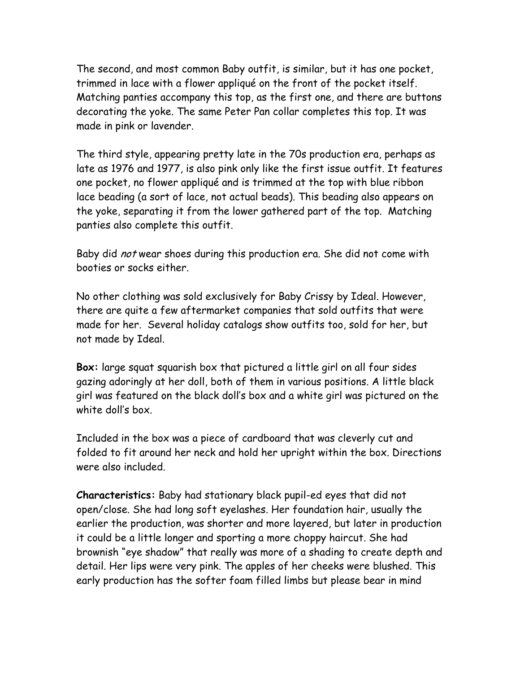The second, and most common Baby outfit, is similar, but it has one pocket, trimmed in lace with a flower appliqué on the front of the pocket itself. Matching panties accompany this top, as the first one, and there are buttons decorating the yoke. The same Peter Pan collar completes this top. It was made in pink or lavender.

The third style, appearing pretty late in the 70s production era, perhaps as late as 1976 and 1977, is also pink only like the first issue outfit. It features one pocket, no flower appliqué and is trimmed at the top with blue ribbon lace beading (a sort of lace, not actual beads). This beading also appears on the yoke, separating it from the lower gathered part of the top. Matching panties also complete this outfit.

Baby did not wear shoes during this production era. She did not come with booties or socks either.

No other clothing was sold exclusively for Baby Crissy by Ideal. However, there are quite a few aftermarket companies that sold outfits that were made for her. Several holiday catalogs show outfits too, sold for her, but not made by Ideal.

**Box:** large squat squarish box that pictured a little girl on all four sides gazing adoringly at her doll, both of them in various positions. A little black girl was featured on the black doll's box and a white girl was pictured on the white doll's box.

Included in the box was a piece of cardboard that was cleverly cut and folded to fit around her neck and hold her upright within the box. Directions were also included.

**Characteristics:** Baby had stationary black pupil-ed eyes that did not open/close. She had long soft eyelashes. Her foundation hair, usually the earlier the production, was shorter and more layered, but later in production it could be a little longer and sporting a more choppy haircut. She had brownish "eye shadow" that really was more of a shading to create depth and detail. Her lips were very pink. The apples of her cheeks were blushed. This early production has the softer foam filled limbs but please bear in mind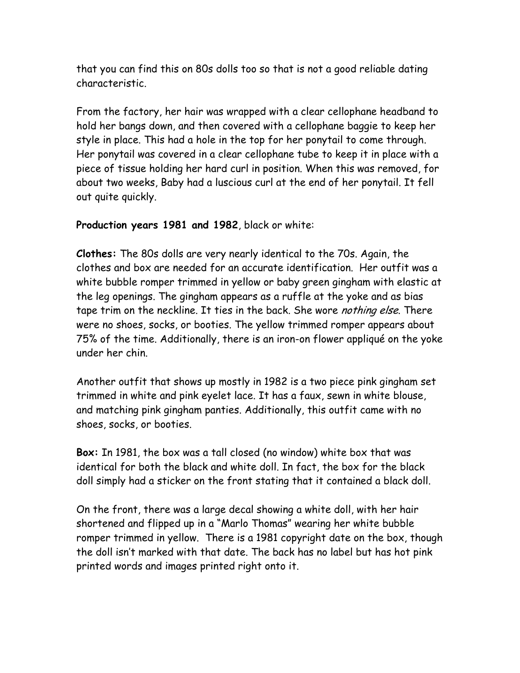that you can find this on 80s dolls too so that is not a good reliable dating characteristic.

From the factory, her hair was wrapped with a clear cellophane headband to hold her bangs down, and then covered with a cellophane baggie to keep her style in place. This had a hole in the top for her ponytail to come through. Her ponytail was covered in a clear cellophane tube to keep it in place with a piece of tissue holding her hard curl in position. When this was removed, for about two weeks, Baby had a luscious curl at the end of her ponytail. It fell out quite quickly.

#### **Production years 1981 and 1982**, black or white:

**Clothes:** The 80s dolls are very nearly identical to the 70s. Again, the clothes and box are needed for an accurate identification. Her outfit was a white bubble romper trimmed in yellow or baby green gingham with elastic at the leg openings. The gingham appears as a ruffle at the yoke and as bias tape trim on the neckline. It ties in the back. She wore *nothing else*. There were no shoes, socks, or booties. The yellow trimmed romper appears about 75% of the time. Additionally, there is an iron-on flower appliqué on the yoke under her chin.

Another outfit that shows up mostly in 1982 is a two piece pink gingham set trimmed in white and pink eyelet lace. It has a faux, sewn in white blouse, and matching pink gingham panties. Additionally, this outfit came with no shoes, socks, or booties.

**Box:** In 1981, the box was a tall closed (no window) white box that was identical for both the black and white doll. In fact, the box for the black doll simply had a sticker on the front stating that it contained a black doll.

On the front, there was a large decal showing a white doll, with her hair shortened and flipped up in a "Marlo Thomas" wearing her white bubble romper trimmed in yellow. There is a 1981 copyright date on the box, though the doll isn't marked with that date. The back has no label but has hot pink printed words and images printed right onto it.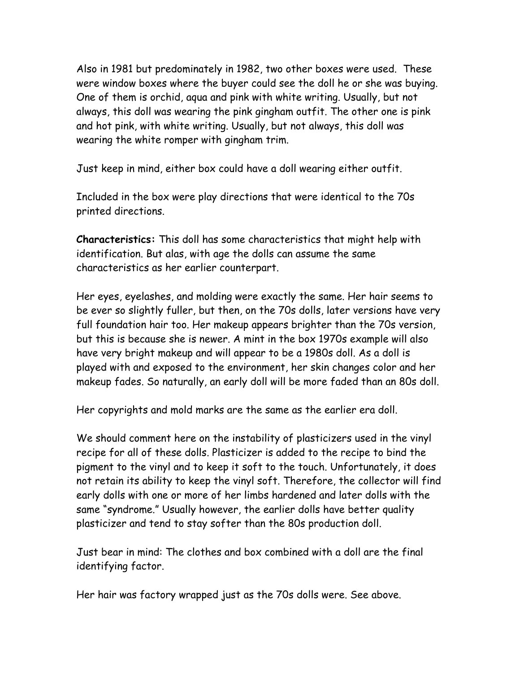Also in 1981 but predominately in 1982, two other boxes were used. These were window boxes where the buyer could see the doll he or she was buying. One of them is orchid, aqua and pink with white writing. Usually, but not always, this doll was wearing the pink gingham outfit. The other one is pink and hot pink, with white writing. Usually, but not always, this doll was wearing the white romper with gingham trim.

Just keep in mind, either box could have a doll wearing either outfit.

Included in the box were play directions that were identical to the 70s printed directions.

**Characteristics:** This doll has some characteristics that might help with identification. But alas, with age the dolls can assume the same characteristics as her earlier counterpart.

Her eyes, eyelashes, and molding were exactly the same. Her hair seems to be ever so slightly fuller, but then, on the 70s dolls, later versions have very full foundation hair too. Her makeup appears brighter than the 70s version, but this is because she is newer. A mint in the box 1970s example will also have very bright makeup and will appear to be a 1980s doll. As a doll is played with and exposed to the environment, her skin changes color and her makeup fades. So naturally, an early doll will be more faded than an 80s doll.

Her copyrights and mold marks are the same as the earlier era doll.

We should comment here on the instability of plasticizers used in the vinyl recipe for all of these dolls. Plasticizer is added to the recipe to bind the pigment to the vinyl and to keep it soft to the touch. Unfortunately, it does not retain its ability to keep the vinyl soft. Therefore, the collector will find early dolls with one or more of her limbs hardened and later dolls with the same "syndrome." Usually however, the earlier dolls have better quality plasticizer and tend to stay softer than the 80s production doll.

Just bear in mind: The clothes and box combined with a doll are the final identifying factor.

Her hair was factory wrapped just as the 70s dolls were. See above.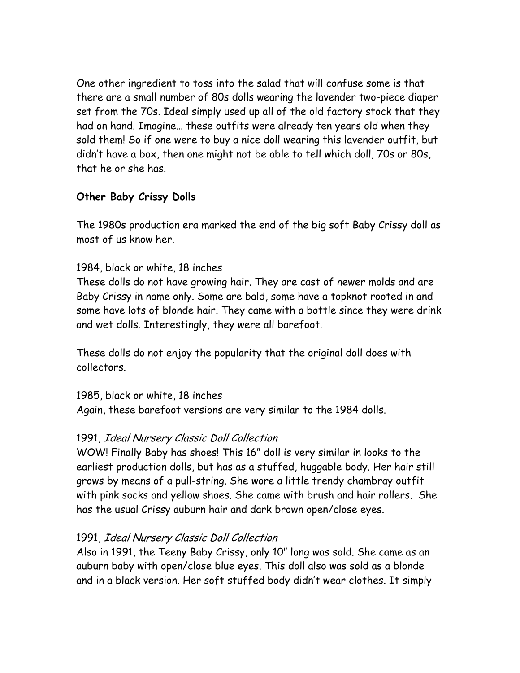One other ingredient to toss into the salad that will confuse some is that there are a small number of 80s dolls wearing the lavender two-piece diaper set from the 70s. Ideal simply used up all of the old factory stock that they had on hand. Imagine… these outfits were already ten years old when they sold them! So if one were to buy a nice doll wearing this lavender outfit, but didn't have a box, then one might not be able to tell which doll, 70s or 80s, that he or she has.

# **Other Baby Crissy Dolls**

The 1980s production era marked the end of the big soft Baby Crissy doll as most of us know her.

## 1984, black or white, 18 inches

These dolls do not have growing hair. They are cast of newer molds and are Baby Crissy in name only. Some are bald, some have a topknot rooted in and some have lots of blonde hair. They came with a bottle since they were drink and wet dolls. Interestingly, they were all barefoot.

These dolls do not enjoy the popularity that the original doll does with collectors.

#### 1985, black or white, 18 inches

Again, these barefoot versions are very similar to the 1984 dolls.

# 1991, Ideal Nursery Classic Doll Collection

WOW! Finally Baby has shoes! This 16" doll is very similar in looks to the earliest production dolls, but has as a stuffed, huggable body. Her hair still grows by means of a pull-string. She wore a little trendy chambray outfit with pink socks and yellow shoes. She came with brush and hair rollers. She has the usual Crissy auburn hair and dark brown open/close eyes.

# 1991, Ideal Nursery Classic Doll Collection

Also in 1991, the Teeny Baby Crissy, only 10" long was sold. She came as an auburn baby with open/close blue eyes. This doll also was sold as a blonde and in a black version. Her soft stuffed body didn't wear clothes. It simply